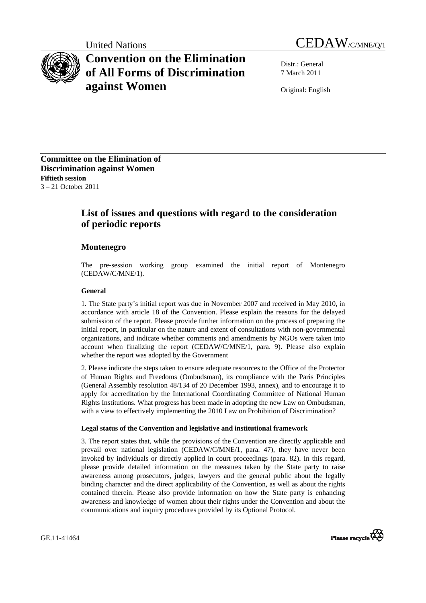# **Convention on the Elimination of All Forms of Discrimination against Women**

United Nations CEDAW/C/MNE/Q/1

Distr.: General 7 March 2011

Original: English

**Committee on the Elimination of Discrimination against Women Fiftieth session**  3 – 21 October 2011

## **List of issues and questions with regard to the consideration of periodic reports**

### **Montenegro**

The pre-session working group examined the initial report of Montenegro (CEDAW/C/MNE/1).

#### **General**

1. The State party's initial report was due in November 2007 and received in May 2010, in accordance with article 18 of the Convention. Please explain the reasons for the delayed submission of the report. Please provide further information on the process of preparing the initial report, in particular on the nature and extent of consultations with non-governmental organizations, and indicate whether comments and amendments by NGOs were taken into account when finalizing the report (CEDAW/C/MNE/1, para. 9). Please also explain whether the report was adopted by the Government

2. Please indicate the steps taken to ensure adequate resources to the Office of the Protector of Human Rights and Freedoms (Ombudsman), its compliance with the Paris Principles (General Assembly resolution 48/134 of 20 December 1993, annex), and to encourage it to apply for accreditation by the International Coordinating Committee of National Human Rights Institutions. What progress has been made in adopting the new Law on Ombudsman, with a view to effectively implementing the 2010 Law on Prohibition of Discrimination?

#### **Legal status of the Convention and legislative and institutional framework**

3. The report states that, while the provisions of the Convention are directly applicable and prevail over national legislation (CEDAW/C/MNE/1, para. 47), they have never been invoked by individuals or directly applied in court proceedings (para. 82). In this regard, please provide detailed information on the measures taken by the State party to raise awareness among prosecutors, judges, lawyers and the general public about the legally binding character and the direct applicability of the Convention, as well as about the rights contained therein. Please also provide information on how the State party is enhancing awareness and knowledge of women about their rights under the Convention and about the communications and inquiry procedures provided by its Optional Protocol.

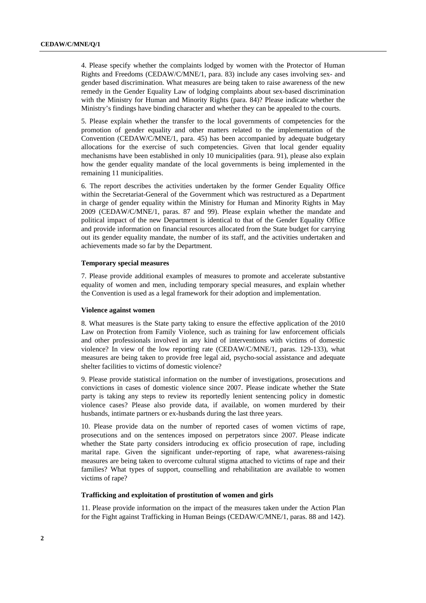4. Please specify whether the complaints lodged by women with the Protector of Human Rights and Freedoms (CEDAW/C/MNE/1, para. 83) include any cases involving sex- and gender based discrimination. What measures are being taken to raise awareness of the new remedy in the Gender Equality Law of lodging complaints about sex-based discrimination with the Ministry for Human and Minority Rights (para. 84)? Please indicate whether the Ministry's findings have binding character and whether they can be appealed to the courts.

5. Please explain whether the transfer to the local governments of competencies for the promotion of gender equality and other matters related to the implementation of the Convention (CEDAW/C/MNE/1, para. 45) has been accompanied by adequate budgetary allocations for the exercise of such competencies. Given that local gender equality mechanisms have been established in only 10 municipalities (para. 91), please also explain how the gender equality mandate of the local governments is being implemented in the remaining 11 municipalities.

6. The report describes the activities undertaken by the former Gender Equality Office within the Secretariat-General of the Government which was restructured as a Department in charge of gender equality within the Ministry for Human and Minority Rights in May 2009 (CEDAW/C/MNE/1, paras. 87 and 99). Please explain whether the mandate and political impact of the new Department is identical to that of the Gender Equality Office and provide information on financial resources allocated from the State budget for carrying out its gender equality mandate, the number of its staff, and the activities undertaken and achievements made so far by the Department.

#### **Temporary special measures**

7. Please provide additional examples of measures to promote and accelerate substantive equality of women and men, including temporary special measures, and explain whether the Convention is used as a legal framework for their adoption and implementation.

#### **Violence against women**

8. What measures is the State party taking to ensure the effective application of the 2010 Law on Protection from Family Violence, such as training for law enforcement officials and other professionals involved in any kind of interventions with victims of domestic violence? In view of the low reporting rate (CEDAW/C/MNE/1, paras. 129-133), what measures are being taken to provide free legal aid, psycho-social assistance and adequate shelter facilities to victims of domestic violence?

9. Please provide statistical information on the number of investigations, prosecutions and convictions in cases of domestic violence since 2007. Please indicate whether the State party is taking any steps to review its reportedly lenient sentencing policy in domestic violence cases? Please also provide data, if available, on women murdered by their husbands, intimate partners or ex-husbands during the last three years.

10. Please provide data on the number of reported cases of women victims of rape, prosecutions and on the sentences imposed on perpetrators since 2007. Please indicate whether the State party considers introducing ex officio prosecution of rape, including marital rape. Given the significant under-reporting of rape, what awareness-raising measures are being taken to overcome cultural stigma attached to victims of rape and their families? What types of support, counselling and rehabilitation are available to women victims of rape?

#### **Trafficking and exploitation of prostitution of women and girls**

11. Please provide information on the impact of the measures taken under the Action Plan for the Fight against Trafficking in Human Beings (CEDAW/C/MNE/1, paras. 88 and 142).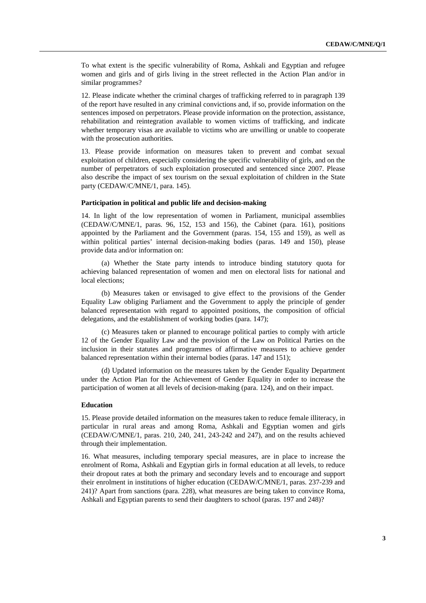To what extent is the specific vulnerability of Roma, Ashkali and Egyptian and refugee women and girls and of girls living in the street reflected in the Action Plan and/or in similar programmes?

12. Please indicate whether the criminal charges of trafficking referred to in paragraph 139 of the report have resulted in any criminal convictions and, if so, provide information on the sentences imposed on perpetrators. Please provide information on the protection, assistance, rehabilitation and reintegration available to women victims of trafficking, and indicate whether temporary visas are available to victims who are unwilling or unable to cooperate with the prosecution authorities.

13. Please provide information on measures taken to prevent and combat sexual exploitation of children, especially considering the specific vulnerability of girls, and on the number of perpetrators of such exploitation prosecuted and sentenced since 2007. Please also describe the impact of sex tourism on the sexual exploitation of children in the State party (CEDAW/C/MNE/1, para. 145).

#### **Participation in political and public life and decision-making**

14. In light of the low representation of women in Parliament, municipal assemblies (CEDAW/C/MNE/1, paras. 96, 152, 153 and 156), the Cabinet (para. 161), positions appointed by the Parliament and the Government (paras. 154, 155 and 159), as well as within political parties' internal decision-making bodies (paras. 149 and 150), please provide data and/or information on:

(a) Whether the State party intends to introduce binding statutory quota for achieving balanced representation of women and men on electoral lists for national and local elections;

(b) Measures taken or envisaged to give effect to the provisions of the Gender Equality Law obliging Parliament and the Government to apply the principle of gender balanced representation with regard to appointed positions, the composition of official delegations, and the establishment of working bodies (para. 147);

(c) Measures taken or planned to encourage political parties to comply with article 12 of the Gender Equality Law and the provision of the Law on Political Parties on the inclusion in their statutes and programmes of affirmative measures to achieve gender balanced representation within their internal bodies (paras. 147 and 151);

(d) Updated information on the measures taken by the Gender Equality Department under the Action Plan for the Achievement of Gender Equality in order to increase the participation of women at all levels of decision-making (para. 124), and on their impact.

#### **Education**

15. Please provide detailed information on the measures taken to reduce female illiteracy, in particular in rural areas and among Roma, Ashkali and Egyptian women and girls (CEDAW/C/MNE/1, paras. 210, 240, 241, 243-242 and 247), and on the results achieved through their implementation.

16. What measures, including temporary special measures, are in place to increase the enrolment of Roma, Ashkali and Egyptian girls in formal education at all levels, to reduce their dropout rates at both the primary and secondary levels and to encourage and support their enrolment in institutions of higher education (CEDAW/C/MNE/1, paras. 237-239 and 241)? Apart from sanctions (para. 228), what measures are being taken to convince Roma, Ashkali and Egyptian parents to send their daughters to school (paras. 197 and 248)?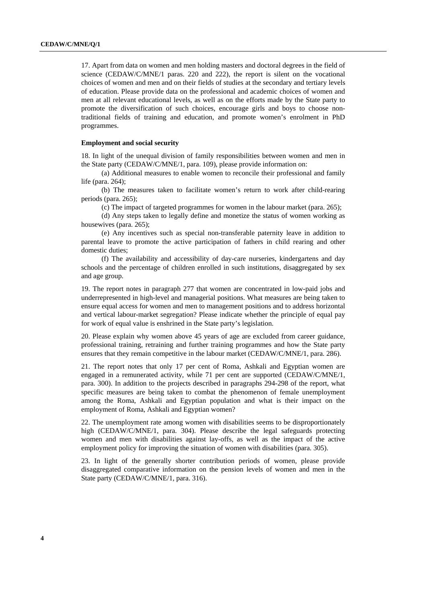17. Apart from data on women and men holding masters and doctoral degrees in the field of science (CEDAW/C/MNE/1 paras. 220 and 222), the report is silent on the vocational choices of women and men and on their fields of studies at the secondary and tertiary levels of education. Please provide data on the professional and academic choices of women and men at all relevant educational levels, as well as on the efforts made by the State party to promote the diversification of such choices, encourage girls and boys to choose nontraditional fields of training and education, and promote women's enrolment in PhD programmes.

#### **Employment and social security**

18. In light of the unequal division of family responsibilities between women and men in the State party (CEDAW/C/MNE/1, para. 109), please provide information on:

(a) Additional measures to enable women to reconcile their professional and family life (para. 264);

(b) The measures taken to facilitate women's return to work after child-rearing periods (para. 265);

(c) The impact of targeted programmes for women in the labour market (para. 265);

(d) Any steps taken to legally define and monetize the status of women working as housewives (para. 265);

(e) Any incentives such as special non-transferable paternity leave in addition to parental leave to promote the active participation of fathers in child rearing and other domestic duties;

(f) The availability and accessibility of day-care nurseries, kindergartens and day schools and the percentage of children enrolled in such institutions, disaggregated by sex and age group.

19. The report notes in paragraph 277 that women are concentrated in low-paid jobs and underrepresented in high-level and managerial positions. What measures are being taken to ensure equal access for women and men to management positions and to address horizontal and vertical labour-market segregation? Please indicate whether the principle of equal pay for work of equal value is enshrined in the State party's legislation.

20. Please explain why women above 45 years of age are excluded from career guidance, professional training, retraining and further training programmes and how the State party ensures that they remain competitive in the labour market (CEDAW/C/MNE/1, para. 286).

21. The report notes that only 17 per cent of Roma, Ashkali and Egyptian women are engaged in a remunerated activity, while 71 per cent are supported (CEDAW/C/MNE/1, para. 300). In addition to the projects described in paragraphs 294-298 of the report, what specific measures are being taken to combat the phenomenon of female unemployment among the Roma, Ashkali and Egyptian population and what is their impact on the employment of Roma, Ashkali and Egyptian women?

22. The unemployment rate among women with disabilities seems to be disproportionately high (CEDAW/C/MNE/1, para. 304). Please describe the legal safeguards protecting women and men with disabilities against lay-offs, as well as the impact of the active employment policy for improving the situation of women with disabilities (para. 305).

23. In light of the generally shorter contribution periods of women, please provide disaggregated comparative information on the pension levels of women and men in the State party (CEDAW/C/MNE/1, para. 316).